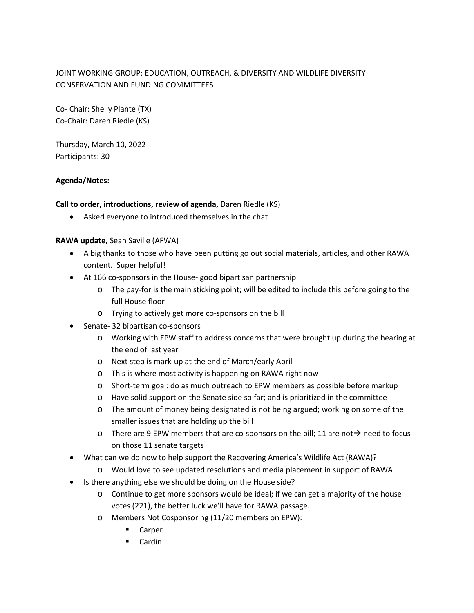# JOINT WORKING GROUP: EDUCATION, OUTREACH, & DIVERSITY AND WILDLIFE DIVERSITY CONSERVATION AND FUNDING COMMITTEES

Co- Chair: Shelly Plante (TX) Co-Chair: Daren Riedle (KS)

Thursday, March 10, 2022 Participants: 30

### **Agenda/Notes:**

### **Call to order, introductions, review of agenda,** Daren Riedle (KS)

• Asked everyone to introduced themselves in the chat

### **RAWA update,** Sean Saville (AFWA)

- A big thanks to those who have been putting go out social materials, articles, and other RAWA content. Super helpful!
- At 166 co-sponsors in the House- good bipartisan partnership
	- o The pay-for is the main sticking point; will be edited to include this before going to the full House floor
	- o Trying to actively get more co-sponsors on the bill
- Senate- 32 bipartisan co-sponsors
	- o Working with EPW staff to address concerns that were brought up during the hearing at the end of last year
	- o Next step is mark-up at the end of March/early April
	- o This is where most activity is happening on RAWA right now
	- o Short-term goal: do as much outreach to EPW members as possible before markup
	- o Have solid support on the Senate side so far; and is prioritized in the committee
	- o The amount of money being designated is not being argued; working on some of the smaller issues that are holding up the bill
	- $\circ$  There are 9 EPW members that are co-sponsors on the bill; 11 are not  $\rightarrow$  need to focus on those 11 senate targets
- What can we do now to help support the Recovering America's Wildlife Act (RAWA)?
	- o Would love to see updated resolutions and media placement in support of RAWA
- Is there anything else we should be doing on the House side?
	- o Continue to get more sponsors would be ideal; if we can get a majority of the house votes (221), the better luck we'll have for RAWA passage.
	- o Members Not Cosponsoring (11/20 members on EPW):
		- Carper
		- Cardin